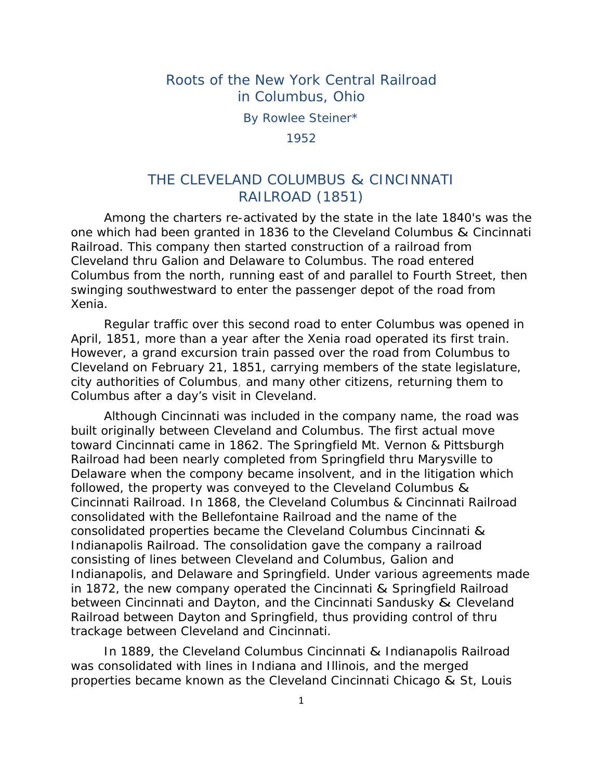## Roots of the New York Central Railroad in Columbus, Ohio

By Rowlee Steiner\*

1952

# THE CLEVELAND COLUMBUS & CINCINNATI RAILROAD (1851)

 Among the charters re-activated by the state in the late 1840's was the one which had been granted in 1836 to the Cleveland Columbus & Cincinnati Railroad. This company then started construction of a railroad from Cleveland thru Galion and Delaware to Columbus. The road entered Columbus from the north, running east of and parallel to Fourth Street, then swinging southwestward to enter the passenger depot of the road from Xenia.

 Regular traffic over this second road to enter Columbus was opened in April, 1851, more than a year after the Xenia road operated its first train. However, a grand excursion train passed over the road from Columbus to Cleveland on February 21, 1851, carrying members of the state legislature, city authorities of Columbus, and many other citizens, returning them to Columbus after a day's visit in Cleveland.

 Although Cincinnati was included in the company name, the road was built originally between Cleveland and Columbus. The first actual move toward Cincinnati came in 1862. The Springfield Mt. Vernon & Pittsburgh Railroad had been nearly completed from Springfield thru Marysville to Delaware when the compony became insolvent, and in the litigation which followed, the property was conveyed to the Cleveland Columbus & Cincinnati Railroad. In 1868, the Cleveland Columbus & Cincinnati Railroad consolidated with the Bellefontaine Railroad and the name of the consolidated properties became the Cleveland Columbus Cincinnati & Indianapolis Railroad. The consolidation gave the company a railroad consisting of lines between Cleveland and Columbus, Galion and Indianapolis, and Delaware and Springfield. Under various agreements made in 1872, the new company operated the Cincinnati & Springfield Railroad between Cincinnati and Dayton, and the Cincinnati Sandusky & Cleveland Railroad between Dayton and Springfield, thus providing control of thru trackage between Cleveland and Cincinnati.

 In 1889, the Cleveland Columbus Cincinnati & Indianapolis Railroad was consolidated with lines in Indiana and Illinois, and the merged properties became known as the Cleveland Cincinnati Chicago & St, Louis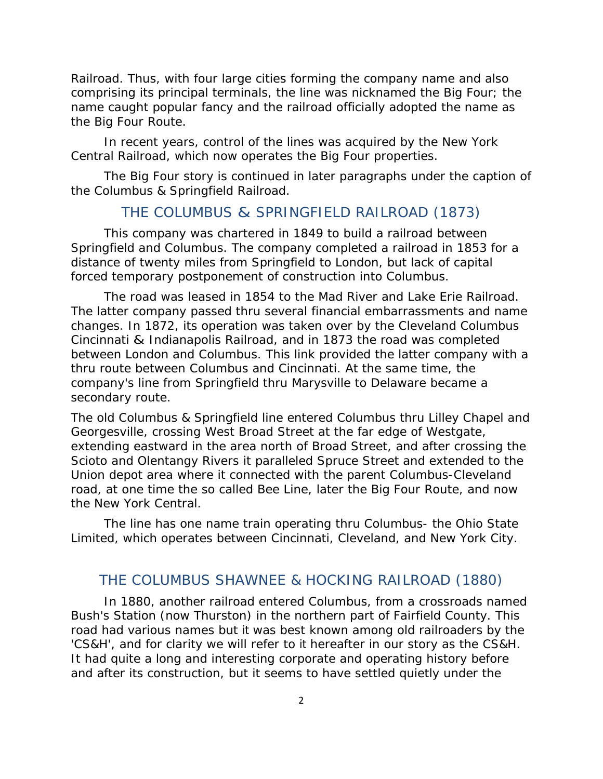Railroad. Thus, with four large cities forming the company name and also comprising its principal terminals, the line was nicknamed the Big Four; the name caught popular fancy and the railroad officially adopted the name as the Big Four Route.

 In recent years, control of the lines was acquired by the New York Central Railroad, which now operates the Big Four properties.

 The Big Four story is continued in later paragraphs under the caption of the Columbus & Springfield Railroad.

## THE COLUMBUS & SPRINGFIELD RAILROAD (1873)

 This company was chartered in 1849 to build a railroad between Springfield and Columbus. The company completed a railroad in 1853 for a distance of twenty miles from Springfield to London, but lack of capital forced temporary postponement of construction into Columbus.

 The road was leased in 1854 to the Mad River and Lake Erie Railroad. The latter company passed thru several financial embarrassments and name changes. In 1872, its operation was taken over by the Cleveland Columbus Cincinnati & Indianapolis Railroad, and in 1873 the road was completed between London and Columbus. This link provided the latter company with a thru route between Columbus and Cincinnati. At the same time, the company's line from Springfield thru Marysville to Delaware became a secondary route.

The old Columbus & Springfield line entered Columbus thru Lilley Chapel and Georgesville, crossing West Broad Street at the far edge of Westgate, extending eastward in the area north of Broad Street, and after crossing the Scioto and Olentangy Rivers it paralleled Spruce Street and extended to the Union depot area where it connected with the parent Columbus-Cleveland road, at one time the so called Bee Line, later the Big Four Route, and now the New York Central.

 The line has one name train operating thru Columbus- the Ohio State Limited, which operates between Cincinnati, Cleveland, and New York City.

#### THE COLUMBUS SHAWNEE & HOCKING RAILROAD (1880)

 In 1880, another railroad entered Columbus, from a crossroads named Bush's Station (now Thurston) in the northern part of Fairfield County. This road had various names but it was best known among old railroaders by the 'CS&H', and for clarity we will refer to it hereafter in our story as the CS&H. It had quite a long and interesting corporate and operating history before and after its construction, but it seems to have settled quietly under the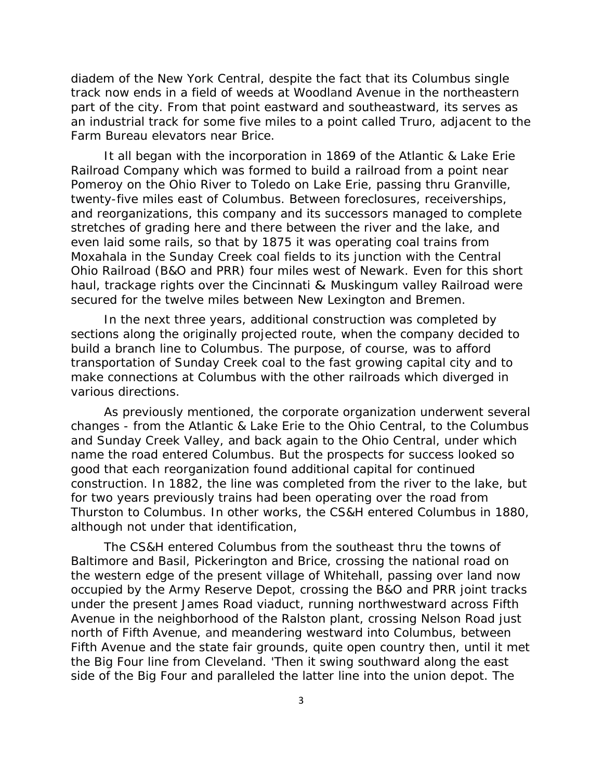diadem of the New York Central, despite the fact that its Columbus single track now ends in a field of weeds at Woodland Avenue in the northeastern part of the city. From that point eastward and southeastward, its serves as an industrial track for some five miles to a point called Truro, adjacent to the Farm Bureau elevators near Brice.

 It all began with the incorporation in 1869 of the Atlantic & Lake Erie Railroad Company which was formed to build a railroad from a point near Pomeroy on the Ohio River to Toledo on Lake Erie, passing thru Granville, twenty-five miles east of Columbus. Between foreclosures, receiverships, and reorganizations, this company and its successors managed to complete stretches of grading here and there between the river and the lake, and even laid some rails, so that by 1875 it was operating coal trains from Moxahala in the Sunday Creek coal fields to its junction with the Central Ohio Railroad (B&O and PRR) four miles west of Newark. Even for this short haul, trackage rights over the Cincinnati & Muskingum valley Railroad were secured for the twelve miles between New Lexington and Bremen.

 In the next three years, additional construction was completed by sections along the originally projected route, when the company decided to build a branch line to Columbus. The purpose, of course, was to afford transportation of Sunday Creek coal to the fast growing capital city and to make connections at Columbus with the other railroads which diverged in various directions.

 As previously mentioned, the corporate organization underwent several changes - from the Atlantic & Lake Erie to the Ohio Central, to the Columbus and Sunday Creek Valley, and back again to the Ohio Central, under which name the road entered Columbus. But the prospects for success looked so good that each reorganization found additional capital for continued construction. In 1882, the line was completed from the river to the lake, but for two years previously trains had been operating over the road from Thurston to Columbus. In other works, the CS&H entered Columbus in 1880, although not under that identification,

 The CS&H entered Columbus from the southeast thru the towns of Baltimore and Basil, Pickerington and Brice, crossing the national road on the western edge of the present village of Whitehall, passing over land now occupied by the Army Reserve Depot, crossing the B&O and PRR joint tracks under the present James Road viaduct, running northwestward across Fifth Avenue in the neighborhood of the Ralston plant, crossing Nelson Road just north of Fifth Avenue, and meandering westward into Columbus, between Fifth Avenue and the state fair grounds, quite open country then, until it met the Big Four line from Cleveland. 'Then it swing southward along the east side of the Big Four and paralleled the latter line into the union depot. The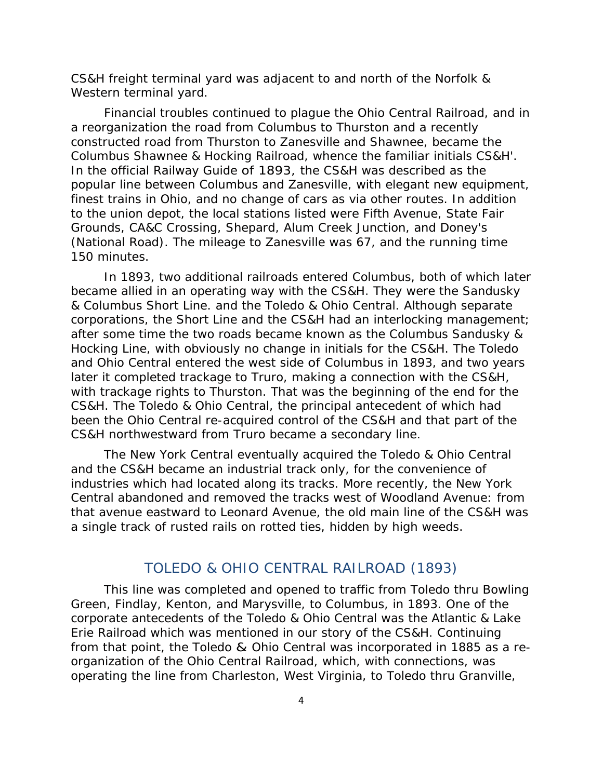CS&H freight terminal yard was adjacent to and north of the Norfolk & Western terminal yard.

 Financial troubles continued to plague the Ohio Central Railroad, and in a reorganization the road from Columbus to Thurston and a recently constructed road from Thurston to Zanesville and Shawnee, became the Columbus Shawnee & Hocking Railroad, whence the familiar initials CS&H'. In the official Railway Guide of 1893*,* the CS&H was described as the popular line between Columbus and Zanesville, with elegant new equipment, finest trains in Ohio, and no change of cars as via other routes. In addition to the union depot, the local stations listed were Fifth Avenue, State Fair Grounds, CA&C Crossing, Shepard, Alum Creek Junction, and Doney's (National Road). The mileage to Zanesville was 67, and the running time 150 minutes.

 In 1893, two additional railroads entered Columbus, both of which later became allied in an operating way with the CS&H. They were the Sandusky & Columbus Short Line. and the Toledo & Ohio Central. Although separate corporations, the Short Line and the CS&H had an interlocking management; after some time the two roads became known as the Columbus Sandusky & Hocking Line, with obviously no change in initials for the CS&H. The Toledo and Ohio Central entered the west side of Columbus in 1893, and two years later it completed trackage to Truro, making a connection with the CS&H, with trackage rights to Thurston. That was the beginning of the end for the CS&H. The Toledo & Ohio Central, the principal antecedent of which had been the Ohio Central re-acquired control of the CS&H and that part of the CS&H northwestward from Truro became a secondary line.

 The New York Central eventually acquired the Toledo & Ohio Central and the CS&H became an industrial track only, for the convenience of industries which had located along its tracks. More recently, the New York Central abandoned and removed the tracks west of Woodland Avenue: from that avenue eastward to Leonard Avenue, the old main line of the CS&H was a single track of rusted rails on rotted ties, hidden by high weeds.

#### TOLEDO & OHIO CENTRAL RAILROAD (1893)

 This line was completed and opened to traffic from Toledo thru Bowling Green, Findlay, Kenton, and Marysville, to Columbus, in 1893. One of the corporate antecedents of the Toledo & Ohio Central was the Atlantic & Lake Erie Railroad which was mentioned in our story of the CS&H. Continuing from that point, the Toledo & Ohio Central was incorporated in 1885 as a reorganization of the Ohio Central Railroad, which, with connections, was operating the line from Charleston, West Virginia, to Toledo thru Granville,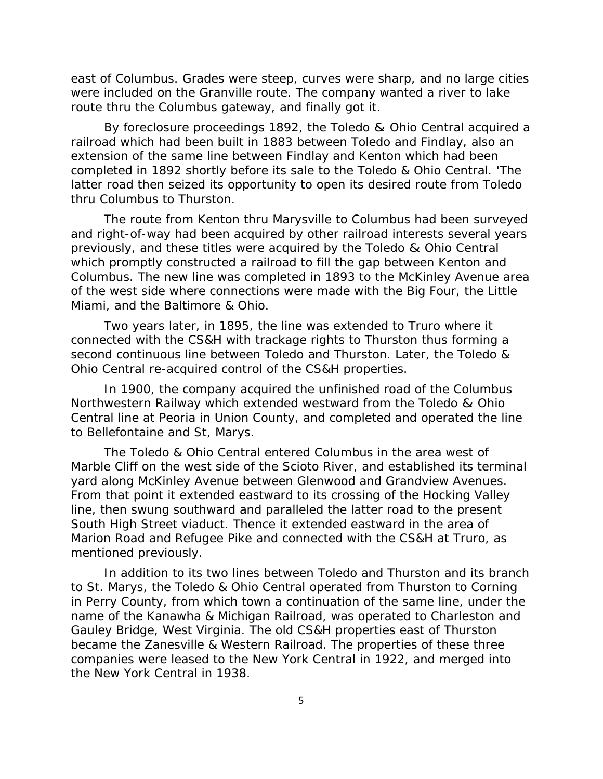east of Columbus. Grades were steep, curves were sharp, and no large cities were included on the Granville route. The company wanted a river to lake route thru the Columbus gateway, and finally got it.

 By foreclosure proceedings 1892, the Toledo & Ohio Central acquired a railroad which had been built in 1883 between Toledo and Findlay, also an extension of the same line between Findlay and Kenton which had been completed in 1892 shortly before its sale to the Toledo & Ohio Central. 'The latter road then seized its opportunity to open its desired route from Toledo thru Columbus to Thurston.

 The route from Kenton thru Marysville to Columbus had been surveyed and right-of-way had been acquired by other railroad interests several years previously, and these titles were acquired by the Toledo & Ohio Central which promptly constructed a railroad to fill the gap between Kenton and Columbus. The new line was completed in 1893 to the McKinley Avenue area of the west side where connections were made with the Big Four, the Little Miami, and the Baltimore & Ohio.

 Two years later, in 1895, the line was extended to Truro where it connected with the CS&H with trackage rights to Thurston thus forming a second continuous line between Toledo and Thurston. Later, the Toledo & Ohio Central re-acquired control of the CS&H properties.

 In 1900, the company acquired the unfinished road of the Columbus Northwestern Railway which extended westward from the Toledo & Ohio Central line at Peoria in Union County, and completed and operated the line to Bellefontaine and St, Marys.

 The Toledo & Ohio Central entered Columbus in the area west of Marble Cliff on the west side of the Scioto River, and established its terminal yard along McKinley Avenue between Glenwood and Grandview Avenues. From that point it extended eastward to its crossing of the Hocking Valley line, then swung southward and paralleled the latter road to the present South High Street viaduct. Thence it extended eastward in the area of Marion Road and Refugee Pike and connected with the CS&H at Truro, as mentioned previously.

 In addition to its two lines between Toledo and Thurston and its branch to St. Marys, the Toledo & Ohio Central operated from Thurston to Corning in Perry County, from which town a continuation of the same line, under the name of the Kanawha & Michigan Railroad, was operated to Charleston and Gauley Bridge, West Virginia. The old CS&H properties east of Thurston became the Zanesville & Western Railroad. The properties of these three companies were leased to the New York Central in 1922, and merged into the New York Central in 1938.